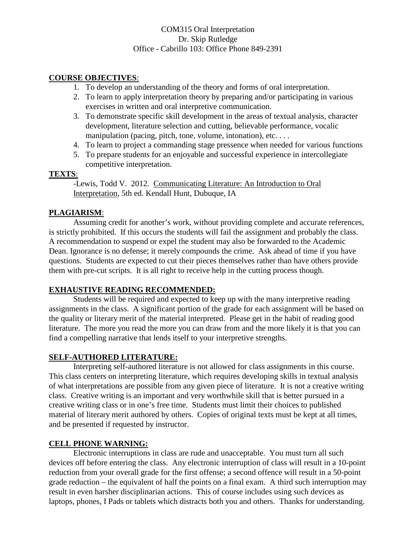### COM315 Oral Interpretation Dr. Skip Rutledge Office - Cabrillo 103: Office Phone 849-2391

### **COURSE OBJECTIVES**:

- 1. To develop an understanding of the theory and forms of oral interpretation.
- 2. To learn to apply interpretation theory by preparing and/or participating in various exercises in written and oral interpretive communication.
- 3. To demonstrate specific skill development in the areas of textual analysis, character development, literature selection and cutting, believable performance, vocalic manipulation (pacing, pitch, tone, volume, intonation), etc. . . .
- 4. To learn to project a commanding stage pressence when needed for various functions
- 5. To prepare students for an enjoyable and successful experience in intercollegiate competitive interpretation.

### **TEXTS**:

-Lewis, Todd V. 2012. Communicating Literature: An Introduction to Oral Interpretation, 5th ed. Kendall Hunt, Dubuque, IA

# **PLAGIARISM**:

Assuming credit for another's work, without providing complete and accurate references, is strictly prohibited. If this occurs the students will fail the assignment and probably the class. A recommendation to suspend or expel the student may also be forwarded to the Academic Dean. Ignorance is no defense; it merely compounds the crime. Ask ahead of time if you have questions. Students are expected to cut their pieces themselves rather than have others provide them with pre-cut scripts. It is all right to receive help in the cutting process though.

# **EXHAUSTIVE READING RECOMMENDED:**

Students will be required and expected to keep up with the many interpretive reading assignments in the class. A significant portion of the grade for each assignment will be based on the quality or literary merit of the material interpreted. Please get in the habit of reading good literature. The more you read the more you can draw from and the more likely it is that you can find a compelling narrative that lends itself to your interpretive strengths.

# **SELF-AUTHORED LITERATURE:**

Interpreting self-authored literature is not allowed for class assignments in this course. This class centers on interpreting literature, which requires developing skills in textual analysis of what interpretations are possible from any given piece of literature. It is not a creative writing class. Creative writing is an important and very worthwhile skill that is better pursued in a creative writing class or in one's free time. Students must limit their choices to published material of literary merit authored by others. Copies of original texts must be kept at all times, and be presented if requested by instructor.

# **CELL PHONE WARNING:**

Electronic interruptions in class are rude and unacceptable. You must turn all such devices off before entering the class. Any electronic interruption of class will result in a 10-point reduction from your overall grade for the first offense; a second offence will result in a 50-point grade reduction – the equivalent of half the points on a final exam. A third such interruption may result in even harsher disciplinarian actions. This of course includes using such devices as laptops, phones, I Pads or tablets which distracts both you and others. Thanks for understanding.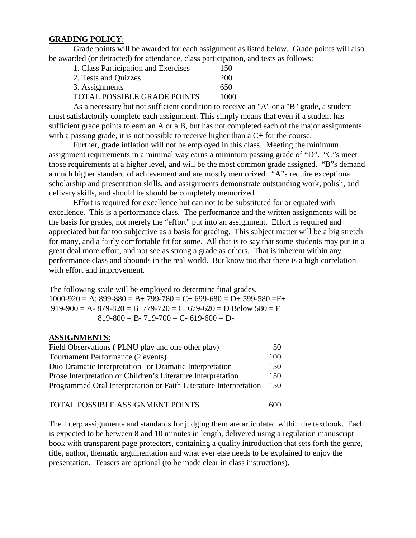### **GRADING POLICY**:

Grade points will be awarded for each assignment as listed below. Grade points will also be awarded (or detracted) for attendance, class participation, and tests as follows:

| 1. Class Participation and Exercises | 150  |
|--------------------------------------|------|
| 2. Tests and Quizzes                 | 200  |
| 3. Assignments                       | 650  |
| TOTAL POSSIBLE GRADE POINTS          | 1000 |
|                                      |      |

As a necessary but not sufficient condition to receive an "A" or a "B" grade, a student must satisfactorily complete each assignment. This simply means that even if a student has sufficient grade points to earn an A or a B, but has not completed each of the major assignments with a passing grade, it is not possible to receive higher than a  $C<sub>+</sub>$  for the course.

Further, grade inflation will not be employed in this class. Meeting the minimum assignment requirements in a minimal way earns a minimum passing grade of "D". "C"s meet those requirements at a higher level, and will be the most common grade assigned. "B"s demand a much higher standard of achievement and are mostly memorized. "A"s require exceptional scholarship and presentation skills, and assignments demonstrate outstanding work, polish, and delivery skills, and should be should be completely memorized.

Effort is required for excellence but can not to be substituted for or equated with excellence. This is a performance class. The performance and the written assignments will be the basis for grades, not merely the "effort" put into an assignment. Effort is required and appreciated but far too subjective as a basis for grading. This subject matter will be a big stretch for many, and a fairly comfortable fit for some. All that is to say that some students may put in a great deal more effort, and not see as strong a grade as others. That is inherent within any performance class and abounds in the real world. But know too that there is a high correlation with effort and improvement.

The following scale will be employed to determine final grades.  $1000-920 = A$ ;  $899-880 = B+ 799-780 = C+ 699-680 = D+ 599-580 = F+$  $919-900 = A - 879-820 = B$  779-720 = C 679-620 = D Below 580 = F  $819-800 = B - 719-700 = C - 619-600 = D$ 

### **ASSIGNMENTS**:

| Field Observations (PLNU play and one other play)                 | 50  |
|-------------------------------------------------------------------|-----|
| Tournament Performance (2 events)                                 | 100 |
| Duo Dramatic Interpretation or Dramatic Interpretation            | 150 |
| Prose Interpretation or Children's Literature Interpretation      | 150 |
| Programmed Oral Interpretation or Faith Literature Interpretation | 150 |
|                                                                   |     |

TOTAL POSSIBLE ASSIGNMENT POINTS 600

The Interp assignments and standards for judging them are articulated within the textbook. Each is expected to be between 8 and 10 minutes in length, delivered using a regulation manuscript book with transparent page protectors, containing a quality introduction that sets forth the genre, title, author, thematic argumentation and what ever else needs to be explained to enjoy the presentation. Teasers are optional (to be made clear in class instructions).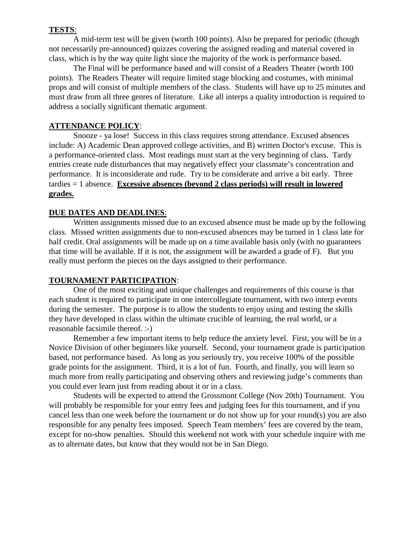#### **TESTS**:

A mid-term test will be given (worth 100 points). Also be prepared for periodic (though not necessarily pre-announced) quizzes covering the assigned reading and material covered in class, which is by the way quite light since the majority of the work is performance based.

The Final will be performance based and will consist of a Readers Theater (worth 100 points). The Readers Theater will require limited stage blocking and costumes, with minimal props and will consist of multiple members of the class. Students will have up to 25 minutes and must draw from all three genres of literature. Like all interps a quality introduction is required to address a socially significant thematic argument.

#### **ATTENDANCE POLICY**:

Snooze - ya lose! Success in this class requires strong attendance. Excused absences include: A) Academic Dean approved college activities, and B) written Doctor's excuse. This is a performance-oriented class. Most readings must start at the very beginning of class. Tardy entries create rude disturbances that may negatively effect your classmate's concentration and performance. It is inconsiderate and rude. Try to be considerate and arrive a bit early. Three tardies = 1 absence. **Excessive absences (beyond 2 class periods) will result in lowered grades.**

### **DUE DATES AND DEADLINES**:

Written assignments missed due to an excused absence must be made up by the following class. Missed written assignments due to non-excused absences may be turned in 1 class late for half credit. Oral assignments will be made up on a time available basis only (with no guarantees that time will be available. If it is not, the assignment will be awarded a grade of F). But you really must perform the pieces on the days assigned to their performance.

#### **TOURNAMENT PARTICIPATION**:

One of the most exciting and unique challenges and requirements of this course is that each student is required to participate in one intercollegiate tournament, with two interp events during the semester. The purpose is to allow the students to enjoy using and testing the skills they have developed in class within the ultimate crucible of learning, the real world, or a reasonable facsimile thereof. :-)

Remember a few important items to help reduce the anxiety level. First, you will be in a Novice Division of other beginners like yourself. Second, your tournament grade is participation based, not performance based. As long as you seriously try, you receive 100% of the possible grade points for the assignment. Third, it is a lot of fun. Fourth, and finally, you will learn so much more from really participating and observing others and reviewing judge's comments than you could ever learn just from reading about it or in a class.

Students will be expected to attend the Grossmont College (Nov 20th) Tournament. You will probably be responsible for your entry fees and judging fees for this tournament, and if you cancel less than one week before the tournament or do not show up for your round(s) you are also responsible for any penalty fees imposed. Speech Team members' fees are covered by the team, except for no-show penalties. Should this weekend not work with your schedule inquire with me as to alternate dates, but know that they would not be in San Diego.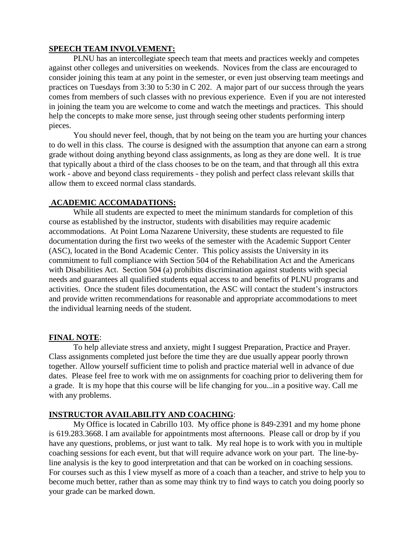### **SPEECH TEAM INVOLVEMENT:**

PLNU has an intercollegiate speech team that meets and practices weekly and competes against other colleges and universities on weekends. Novices from the class are encouraged to consider joining this team at any point in the semester, or even just observing team meetings and practices on Tuesdays from 3:30 to 5:30 in C 202. A major part of our success through the years comes from members of such classes with no previous experience. Even if you are not interested in joining the team you are welcome to come and watch the meetings and practices. This should help the concepts to make more sense, just through seeing other students performing interp pieces.

You should never feel, though, that by not being on the team you are hurting your chances to do well in this class. The course is designed with the assumption that anyone can earn a strong grade without doing anything beyond class assignments, as long as they are done well. It is true that typically about a third of the class chooses to be on the team, and that through all this extra work - above and beyond class requirements - they polish and perfect class relevant skills that allow them to exceed normal class standards.

# **ACADEMIC ACCOMADATIONS:**

While all students are expected to meet the minimum standards for completion of this course as established by the instructor, students with disabilities may require academic accommodations. At Point Loma Nazarene University, these students are requested to file documentation during the first two weeks of the semester with the Academic Support Center (ASC), located in the Bond Academic Center. This policy assists the University in its commitment to full compliance with Section 504 of the Rehabilitation Act and the Americans with Disabilities Act. Section 504 (a) prohibits discrimination against students with special needs and guarantees all qualified students equal access to and benefits of PLNU programs and activities. Once the student files documentation, the ASC will contact the student's instructors and provide written recommendations for reasonable and appropriate accommodations to meet the individual learning needs of the student.

# **FINAL NOTE**:

To help alleviate stress and anxiety, might I suggest Preparation, Practice and Prayer. Class assignments completed just before the time they are due usually appear poorly thrown together. Allow yourself sufficient time to polish and practice material well in advance of due dates. Please feel free to work with me on assignments for coaching prior to delivering them for a grade. It is my hope that this course will be life changing for you...in a positive way. Call me with any problems.

# **INSTRUCTOR AVAILABILITY AND COACHING**:

My Office is located in Cabrillo 103. My office phone is 849-2391 and my home phone is 619.283.3668. I am available for appointments most afternoons. Please call or drop by if you have any questions, problems, or just want to talk. My real hope is to work with you in multiple coaching sessions for each event, but that will require advance work on your part. The line-byline analysis is the key to good interpretation and that can be worked on in coaching sessions. For courses such as this I view myself as more of a coach than a teacher, and strive to help you to become much better, rather than as some may think try to find ways to catch you doing poorly so your grade can be marked down.